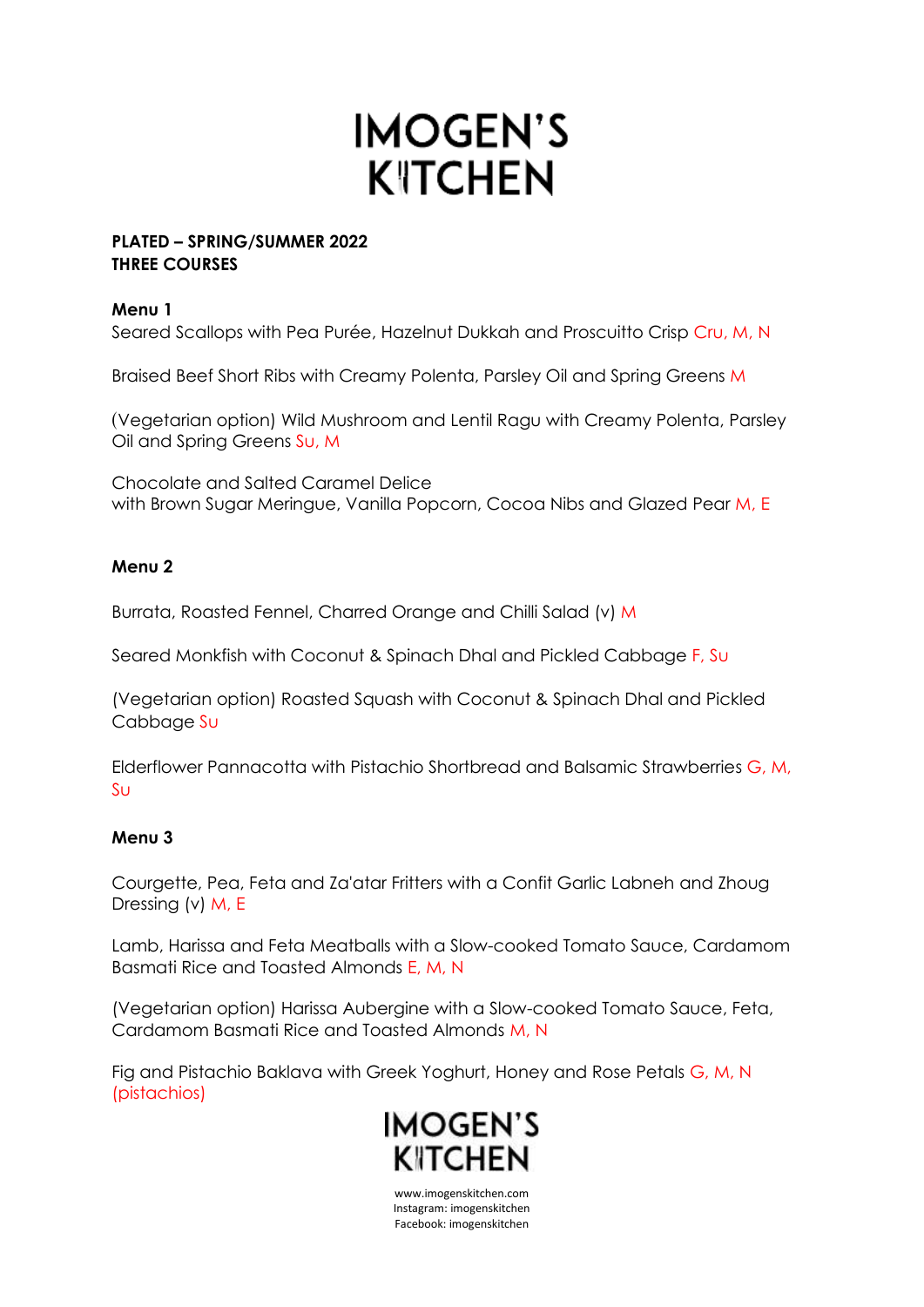# **IMOGEN'S KITCHEN**

## **PLATED – SPRING/SUMMER 2022 THREE COURSES**

## **Menu 1**

Seared Scallops with Pea Purée, Hazelnut Dukkah and Proscuitto Crisp Cru, M, N

Braised Beef Short Ribs with Creamy Polenta, Parsley Oil and Spring Greens M

(Vegetarian option) Wild Mushroom and Lentil Ragu with Creamy Polenta, Parsley Oil and Spring Greens Su, M

Chocolate and Salted Caramel Delice with Brown Sugar Meringue, Vanilla Popcorn, Cocoa Nibs and Glazed Pear M, E

### **Menu 2**

Burrata, Roasted Fennel, Charred Orange and Chilli Salad (v) M

Seared Monkfish with Coconut & Spinach Dhal and Pickled Cabbage F, Su

(Vegetarian option) Roasted Squash with Coconut & Spinach Dhal and Pickled Cabbage Su

Elderflower Pannacotta with Pistachio Shortbread and Balsamic Strawberries G, M, Su

### **Menu 3**

Courgette, Pea, Feta and Za'atar Fritters with a Confit Garlic Labneh and Zhoug Dressing (v) M, E

Lamb, Harissa and Feta Meatballs with a Slow-cooked Tomato Sauce, Cardamom Basmati Rice and Toasted Almonds E, M, N

(Vegetarian option) Harissa Aubergine with a Slow-cooked Tomato Sauce, Feta, Cardamom Basmati Rice and Toasted Almonds M, N

Fig and Pistachio Baklava with Greek Yoghurt, Honey and Rose Petals G, M, N (pistachios)



www.imogenskitchen.com Instagram: imogenskitchen Facebook: imogenskitchen